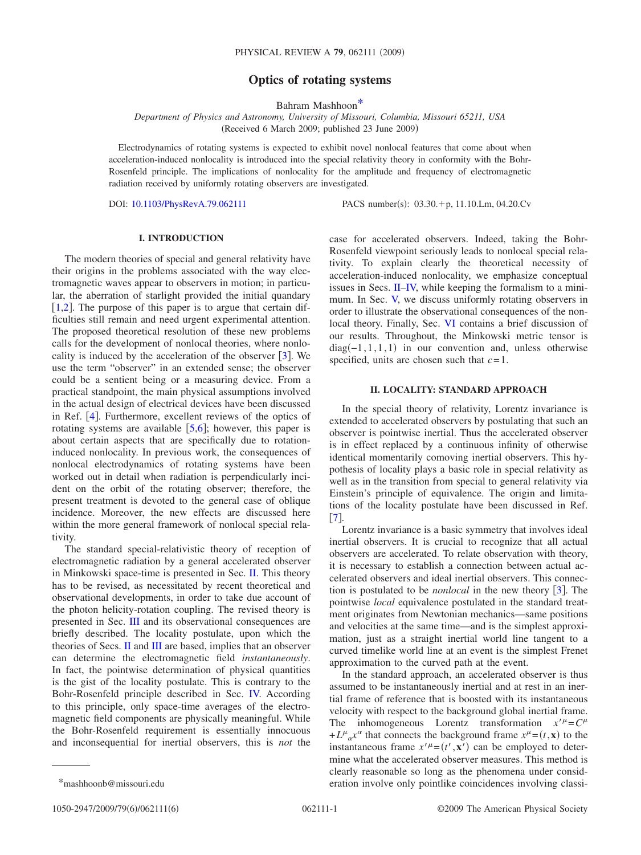# **Optics of rotating systems**

Bahram Mashhoo[n\\*](#page-0-0)

*Department of Physics and Astronomy, University of Missouri, Columbia, Missouri 65211, USA* (Received 6 March 2009; published 23 June 2009)

Electrodynamics of rotating systems is expected to exhibit novel nonlocal features that come about when acceleration-induced nonlocality is introduced into the special relativity theory in conformity with the Bohr-Rosenfeld principle. The implications of nonlocality for the amplitude and frequency of electromagnetic radiation received by uniformly rotating observers are investigated.

DOI: [10.1103/PhysRevA.79.062111](http://dx.doi.org/10.1103/PhysRevA.79.062111)

PACS number(s):  $03.30.+p$ , 11.10.Lm, 04.20.Cv

## **I. INTRODUCTION**

The modern theories of special and general relativity have their origins in the problems associated with the way electromagnetic waves appear to observers in motion; in particular, the aberration of starlight provided the initial quandary [[1](#page-5-0)[,2](#page-5-1)]. The purpose of this paper is to argue that certain difficulties still remain and need urgent experimental attention. The proposed theoretical resolution of these new problems calls for the development of nonlocal theories, where nonlocality is induced by the acceleration of the observer  $\lceil 3 \rceil$  $\lceil 3 \rceil$  $\lceil 3 \rceil$ . We use the term "observer" in an extended sense; the observer could be a sentient being or a measuring device. From a practical standpoint, the main physical assumptions involved in the actual design of electrical devices have been discussed in Ref.  $[4]$  $[4]$  $[4]$ . Furthermore, excellent reviews of the optics of rotating systems are available  $[5,6]$  $[5,6]$  $[5,6]$  $[5,6]$ ; however, this paper is about certain aspects that are specifically due to rotationinduced nonlocality. In previous work, the consequences of nonlocal electrodynamics of rotating systems have been worked out in detail when radiation is perpendicularly incident on the orbit of the rotating observer; therefore, the present treatment is devoted to the general case of oblique incidence. Moreover, the new effects are discussed here within the more general framework of nonlocal special relativity.

The standard special-relativistic theory of reception of electromagnetic radiation by a general accelerated observer in Minkowski space-time is presented in Sec. [II.](#page-0-1) This theory has to be revised, as necessitated by recent theoretical and observational developments, in order to take due account of the photon helicity-rotation coupling. The revised theory is presented in Sec. [III](#page-1-0) and its observational consequences are briefly described. The locality postulate, upon which the theories of Secs. [II](#page-0-1) and [III](#page-1-0) are based, implies that an observer can determine the electromagnetic field *instantaneously*. In fact, the pointwise determination of physical quantities is the gist of the locality postulate. This is contrary to the Bohr-Rosenfeld principle described in Sec. [IV.](#page-2-0) According to this principle, only space-time averages of the electromagnetic field components are physically meaningful. While the Bohr-Rosenfeld requirement is essentially innocuous and inconsequential for inertial observers, this is *not* the

case for accelerated observers. Indeed, taking the Bohr-Rosenfeld viewpoint seriously leads to nonlocal special relativity. To explain clearly the theoretical necessity of acceleration-induced nonlocality, we emphasize conceptual issues in Secs. [II–](#page-0-1)[IV,](#page-2-0) while keeping the formalism to a mini-mum. In Sec. [V,](#page-3-0) we discuss uniformly rotating observers in order to illustrate the observational consequences of the nonlocal theory. Finally, Sec. [VI](#page-5-6) contains a brief discussion of our results. Throughout, the Minkowski metric tensor is  $diag(-1,1,1,1)$  in our convention and, unless otherwise specified, units are chosen such that *c*=1.

### **II. LOCALITY: STANDARD APPROACH**

<span id="page-0-1"></span>In the special theory of relativity, Lorentz invariance is extended to accelerated observers by postulating that such an observer is pointwise inertial. Thus the accelerated observer is in effect replaced by a continuous infinity of otherwise identical momentarily comoving inertial observers. This hypothesis of locality plays a basic role in special relativity as well as in the transition from special to general relativity via Einstein's principle of equivalence. The origin and limitations of the locality postulate have been discussed in Ref.  $\left[7\right]$  $\left[7\right]$  $\left[7\right]$ .

Lorentz invariance is a basic symmetry that involves ideal inertial observers. It is crucial to recognize that all actual observers are accelerated. To relate observation with theory, it is necessary to establish a connection between actual accelerated observers and ideal inertial observers. This connection is postulated to be *nonlocal* in the new theory [[3](#page-5-2)]. The pointwise *local* equivalence postulated in the standard treatment originates from Newtonian mechanics—same positions and velocities at the same time—and is the simplest approximation, just as a straight inertial world line tangent to a curved timelike world line at an event is the simplest Frenet approximation to the curved path at the event.

<span id="page-0-0"></span>In the standard approach, an accelerated observer is thus assumed to be instantaneously inertial and at rest in an inertial frame of reference that is boosted with its instantaneous velocity with respect to the background global inertial frame. The inhomogeneous Lorentz transformation  $x^{\mu} = C^{\mu}$  $+ L^{\mu}{}_{\alpha} x^{\alpha}$  that connects the background frame  $x^{\mu} = (t, \mathbf{x})$  to the instantaneous frame  $x''^{\mu} = (t', \mathbf{x}')$  can be employed to determine what the accelerated observer measures. This method is clearly reasonable so long as the phenomena under consid- \*mashhoonb@missouri.edu eration involve only pointlike coincidences involving classi-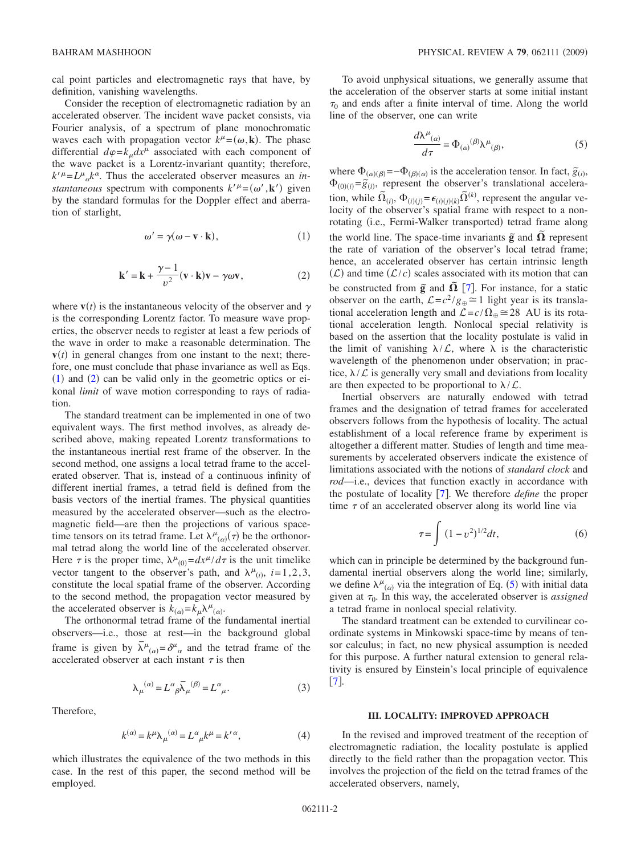Consider the reception of electromagnetic radiation by an accelerated observer. The incident wave packet consists, via Fourier analysis, of a spectrum of plane monochromatic waves each with propagation vector  $k^{\mu} = (\omega, \mathbf{k})$ . The phase differential  $d\varphi = k_{\mu} dx^{\mu}$  associated with each component of the wave packet is a Lorentz-invariant quantity; therefore,  $k^{\prime \mu} = L^{\mu}{}_{\alpha} k^{\alpha}$ . Thus the accelerated observer measures an *instantaneous* spectrum with components  $k'_{\mu} = (\omega', \mathbf{k}')$  given by the standard formulas for the Doppler effect and aberration of starlight,

$$
\omega' = \gamma(\omega - \mathbf{v} \cdot \mathbf{k}),\tag{1}
$$

$$
\mathbf{k}' = \mathbf{k} + \frac{\gamma - 1}{v^2} (\mathbf{v} \cdot \mathbf{k}) \mathbf{v} - \gamma \omega \mathbf{v},
$$
 (2)

<span id="page-1-2"></span><span id="page-1-1"></span>where  $\mathbf{v}(t)$  is the instantaneous velocity of the observer and  $\gamma$ is the corresponding Lorentz factor. To measure wave properties, the observer needs to register at least a few periods of the wave in order to make a reasonable determination. The  **in general changes from one instant to the next; there**fore, one must conclude that phase invariance as well as Eqs.  $(1)$  $(1)$  $(1)$  and  $(2)$  $(2)$  $(2)$  can be valid only in the geometric optics or eikonal *limit* of wave motion corresponding to rays of radiation.

The standard treatment can be implemented in one of two equivalent ways. The first method involves, as already described above, making repeated Lorentz transformations to the instantaneous inertial rest frame of the observer. In the second method, one assigns a local tetrad frame to the accelerated observer. That is, instead of a continuous infinity of different inertial frames, a tetrad field is defined from the basis vectors of the inertial frames. The physical quantities measured by the accelerated observer—such as the electromagnetic field—are then the projections of various spacetime tensors on its tetrad frame. Let  $\lambda^{\mu}{}_{(\alpha)}(\tau)$  be the orthonormal tetrad along the world line of the accelerated observer. Here  $\tau$  is the proper time,  $\lambda^{\mu}{}_{(0)} = dx^{\mu}/d\tau$  is the unit timelike vector tangent to the observer's path, and  $\lambda^{\mu}$ <sub>(*i*)</sub>, *i*=1,2,3, constitute the local spatial frame of the observer. According to the second method, the propagation vector measured by the accelerated observer is  $k_{(\alpha)} = k_{\mu} \lambda^{\mu}{}_{(\alpha)}$ .

The orthonormal tetrad frame of the fundamental inertial observers—i.e., those at rest—in the background global frame is given by  $\bar{\lambda}^{\mu}{}_{(\alpha)} = \delta^{\mu}{}_{\alpha}$  and the tetrad frame of the accelerated observer at each instant  $\tau$  is then

$$
\lambda_{\mu}^{(\alpha)} = L^{\alpha}{}_{\beta} \overline{\lambda}_{\mu}^{(\beta)} = L^{\alpha}{}_{\mu}.
$$
 (3)

Therefore,

$$
k^{(\alpha)} = k^{\mu} \lambda_{\mu}^{(\alpha)} = L^{\alpha}{}_{\mu} k^{\mu} = k^{\prime \alpha}, \tag{4}
$$

which illustrates the equivalence of the two methods in this case. In the rest of this paper, the second method will be employed.

To avoid unphysical situations, we generally assume that the acceleration of the observer starts at some initial instant  $\tau_0$  and ends after a finite interval of time. Along the world line of the observer, one can write

$$
\frac{d\lambda^{\mu}{}_{(\alpha)}}{d\tau} = \Phi_{(\alpha)}{}^{(\beta)}\lambda^{\mu}{}_{(\beta)},\tag{5}
$$

<span id="page-1-3"></span>where  $\Phi_{(\alpha)(\beta)} = -\Phi_{(\beta)(\alpha)}$  is the acceleration tensor. In fact,  $\tilde{g}_{(i)}$ ,  $\Phi_{(0)(i)} = \tilde{g}_{(i)}$ , represent the observer's translational acceleration, while  $\tilde{\Omega}_{(i)}$ ,  $\Phi_{(i)(j)} = \epsilon_{(i)(j)(k)} \tilde{\Omega}^{(k)}$ , represent the angular velocity of the observer's spatial frame with respect to a nonrotating (i.e., Fermi-Walker transported) tetrad frame along the world line. The space-time invariants  $\tilde{g}$  and  $\tilde{\Omega}$  represent the rate of variation of the observer's local tetrad frame; hence, an accelerated observer has certain intrinsic length  $(\mathcal{L})$  and time  $(\mathcal{L}/c)$  scales associated with its motion that can be constructed from  $\tilde{g}$  and  $\tilde{\Omega}$  [[7](#page-5-7)]. For instance, for a static observer on the earth,  $\mathcal{L}=c^2/g_{\oplus}\cong 1$  light year is its translational acceleration length and  $\mathcal{L} = c/\Omega_{\oplus} \cong 28$  AU is its rotational acceleration length. Nonlocal special relativity is based on the assertion that the locality postulate is valid in the limit of vanishing  $\lambda/L$ , where  $\lambda$  is the characteristic wavelength of the phenomenon under observation; in practice,  $\lambda/\mathcal{L}$  is generally very small and deviations from locality are then expected to be proportional to  $\lambda/L$ .

Inertial observers are naturally endowed with tetrad frames and the designation of tetrad frames for accelerated observers follows from the hypothesis of locality. The actual establishment of a local reference frame by experiment is altogether a different matter. Studies of length and time measurements by accelerated observers indicate the existence of limitations associated with the notions of *standard clock* and *rod*—i.e., devices that function exactly in accordance with the postulate of locality [[7](#page-5-7)]. We therefore *define* the proper time  $\tau$  of an accelerated observer along its world line via

$$
\tau = \int (1 - v^2)^{1/2} dt,\tag{6}
$$

which can in principle be determined by the background fundamental inertial observers along the world line; similarly, we define  $\lambda^{\mu}{}_{(\alpha)}$  via the integration of Eq. ([5](#page-1-3)) with initial data given at  $\tau_0$ . In this way, the accelerated observer is *assigned* a tetrad frame in nonlocal special relativity.

The standard treatment can be extended to curvilinear coordinate systems in Minkowski space-time by means of tensor calculus; in fact, no new physical assumption is needed for this purpose. A further natural extension to general relativity is ensured by Einstein's local principle of equivalence  $[7]$  $[7]$  $[7]$ .

#### **III. LOCALITY: IMPROVED APPROACH**

<span id="page-1-0"></span>In the revised and improved treatment of the reception of electromagnetic radiation, the locality postulate is applied directly to the field rather than the propagation vector. This involves the projection of the field on the tetrad frames of the accelerated observers, namely,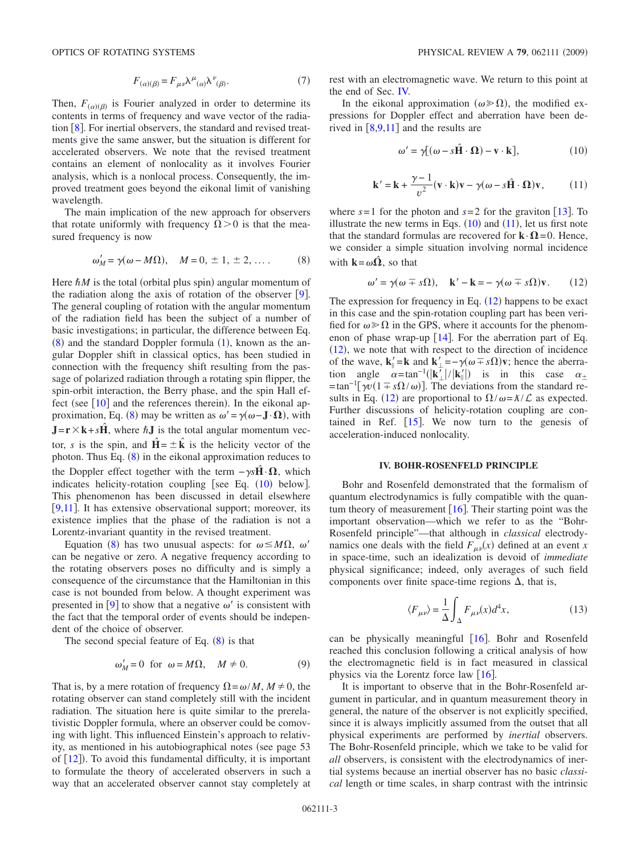$$
F_{(\alpha)(\beta)} = F_{\mu\nu} \lambda^{\mu}{}_{(\alpha)} \lambda^{\nu}{}_{(\beta)}.
$$
 (7)

Then,  $F_{(\alpha)(\beta)}$  is Fourier analyzed in order to determine its contents in terms of frequency and wave vector of the radiation  $\lceil 8 \rceil$  $\lceil 8 \rceil$  $\lceil 8 \rceil$ . For inertial observers, the standard and revised treatments give the same answer, but the situation is different for accelerated observers. We note that the revised treatment contains an element of nonlocality as it involves Fourier analysis, which is a nonlocal process. Consequently, the improved treatment goes beyond the eikonal limit of vanishing wavelength.

The main implication of the new approach for observers that rotate uniformly with frequency  $\Omega > 0$  is that the measured frequency is now

$$
\omega'_{M} = \gamma(\omega - M\Omega), \quad M = 0, \pm 1, \pm 2, \dots. \tag{8}
$$

<span id="page-2-1"></span>Here  $\hbar M$  is the total (orbital plus spin) angular momentum of the radiation along the axis of rotation of the observer  $[9]$  $[9]$  $[9]$ . The general coupling of rotation with the angular momentum of the radiation field has been the subject of a number of basic investigations; in particular, the difference between Eq.  $(8)$  $(8)$  $(8)$  and the standard Doppler formula  $(1)$  $(1)$  $(1)$ , known as the angular Doppler shift in classical optics, has been studied in connection with the frequency shift resulting from the passage of polarized radiation through a rotating spin flipper, the spin-orbit interaction, the Berry phase, and the spin Hall effect (see  $[10]$  $[10]$  $[10]$  and the references therein). In the eikonal ap-proximation, Eq. ([8](#page-2-1)) may be written as  $\omega' = \gamma(\omega - \mathbf{J} \cdot \mathbf{\Omega})$ , with  $J = r \times k + s\hat{H}$ , where  $\hbar J$  is the total angular momentum vector, *s* is the spin, and  $\hat{H} = \pm \hat{k}$  is the helicity vector of the photon. Thus Eq.  $(8)$  $(8)$  $(8)$  in the eikonal approximation reduces to the Doppler effect together with the term  $-\gamma s \hat{H} \cdot \Omega$ , which indicates helicity-rotation coupling [see Eq.  $(10)$  $(10)$  $(10)$  below]. This phenomenon has been discussed in detail elsewhere [ $9,11$  $9,11$ ]. It has extensive observational support; moreover, its existence implies that the phase of the radiation is not a Lorentz-invariant quantity in the revised treatment.

Equation ([8](#page-2-1)) has two unusual aspects: for  $\omega \leq M\Omega$ ,  $\omega'$ can be negative or zero. A negative frequency according to the rotating observers poses no difficulty and is simply a consequence of the circumstance that the Hamiltonian in this case is not bounded from below. A thought experiment was presented in [[9](#page-5-9)] to show that a negative  $\omega'$  is consistent with the fact that the temporal order of events should be independent of the choice of observer.

The second special feature of Eq.  $(8)$  $(8)$  $(8)$  is that

$$
\omega'_{M} = 0 \text{ for } \omega = M\Omega, \quad M \neq 0. \tag{9}
$$

<span id="page-2-5"></span>That is, by a mere rotation of frequency  $\Omega = \omega/M$ ,  $M \neq 0$ , the rotating observer can stand completely still with the incident radiation. The situation here is quite similar to the prerelativistic Doppler formula, where an observer could be comoving with light. This influenced Einstein's approach to relativity, as mentioned in his autobiographical notes (see page 53) of  $[12]$  $[12]$  $[12]$ ). To avoid this fundamental difficulty, it is important to formulate the theory of accelerated observers in such a way that an accelerated observer cannot stay completely at rest with an electromagnetic wave. We return to this point at the end of Sec. [IV.](#page-2-0)

In the eikonal approximation ( $\omega \ge \Omega$ ), the modified expressions for Doppler effect and aberration have been derived in  $\lceil 8,9,11 \rceil$  $\lceil 8,9,11 \rceil$  $\lceil 8,9,11 \rceil$  $\lceil 8,9,11 \rceil$  $\lceil 8,9,11 \rceil$  and the results are

$$
\omega' = \gamma [(\omega - s\hat{\mathbf{H}} \cdot \mathbf{\Omega}) - \mathbf{v} \cdot \mathbf{k}], \tag{10}
$$

<span id="page-2-2"></span>
$$
\mathbf{k}' = \mathbf{k} + \frac{\gamma - 1}{v^2} (\mathbf{v} \cdot \mathbf{k}) \mathbf{v} - \gamma (\omega - s \hat{\mathbf{H}} \cdot \mathbf{\Omega}) \mathbf{v},
$$
 (11)

<span id="page-2-3"></span>where  $s=1$  for the photon and  $s=2$  for the graviton [[13](#page-5-13)]. To illustrate the new terms in Eqs.  $(10)$  $(10)$  $(10)$  and  $(11)$  $(11)$  $(11)$ , let us first note that the standard formulas are recovered for  $\mathbf{k} \cdot \mathbf{\Omega} = 0$ . Hence, we consider a simple situation involving normal incidence with  $\mathbf{k} = \omega \hat{\Omega}$ , so that

$$
\omega' = \gamma(\omega \mp s\Omega), \quad \mathbf{k}' - \mathbf{k} = -\gamma(\omega \mp s\Omega)\mathbf{v}.
$$
 (12)

<span id="page-2-4"></span>The expression for frequency in Eq.  $(12)$  $(12)$  $(12)$  happens to be exact in this case and the spin-rotation coupling part has been verified for  $\omega \gg \Omega$  in the GPS, where it accounts for the phenomenon of phase wrap-up  $[14]$  $[14]$  $[14]$ . For the aberration part of Eq.  $(12)$  $(12)$  $(12)$ , we note that with respect to the direction of incidence of the wave,  $\mathbf{k}_{\parallel}' = \mathbf{k}$  and  $\mathbf{k}_{\perp}' = -\gamma(\omega \mp s\Omega)\mathbf{v}$ ; hence the aberration angle  $\alpha = \tan^{-1}(|{\bf k'_{\perp}}|/|{\bf k'_{\parallel}}|)$  is in this case  $\alpha_{\pm}$  $=\tan^{-1}[\gamma v(1 \mp s\Omega/\omega)]$ . The deviations from the standard re-sults in Eq. ([12](#page-2-4)) are proportional to  $\Omega/\omega = \frac{\chi}{L}$  as expected. Further discussions of helicity-rotation coupling are contained in Ref.  $[15]$  $[15]$  $[15]$ . We now turn to the genesis of acceleration-induced nonlocality.

#### **IV. BOHR-ROSENFELD PRINCIPLE**

<span id="page-2-0"></span>Bohr and Rosenfeld demonstrated that the formalism of quantum electrodynamics is fully compatible with the quantum theory of measurement  $[16]$  $[16]$  $[16]$ . Their starting point was the important observation—which we refer to as the "Bohr-Rosenfeld principle"—that although in *classical* electrodynamics one deals with the field  $F_{\mu\nu}(x)$  defined at an event *x* in space-time, such an idealization is devoid of *immediate* physical significance; indeed, only averages of such field components over finite space-time regions  $\Delta$ , that is,

$$
\langle F_{\mu\nu} \rangle = \frac{1}{\Delta} \int_{\Delta} F_{\mu\nu}(x) d^4 x,\tag{13}
$$

can be physically meaningful  $\left[16\right]$  $\left[16\right]$  $\left[16\right]$ . Bohr and Rosenfeld reached this conclusion following a critical analysis of how the electromagnetic field is in fact measured in classical physics via the Lorentz force law  $[16]$  $[16]$  $[16]$ .

It is important to observe that in the Bohr-Rosenfeld argument in particular, and in quantum measurement theory in general, the nature of the observer is not explicitly specified, since it is always implicitly assumed from the outset that all physical experiments are performed by *inertial* observers. The Bohr-Rosenfeld principle, which we take to be valid for *all* observers, is consistent with the electrodynamics of inertial systems because an inertial observer has no basic *classical* length or time scales, in sharp contrast with the intrinsic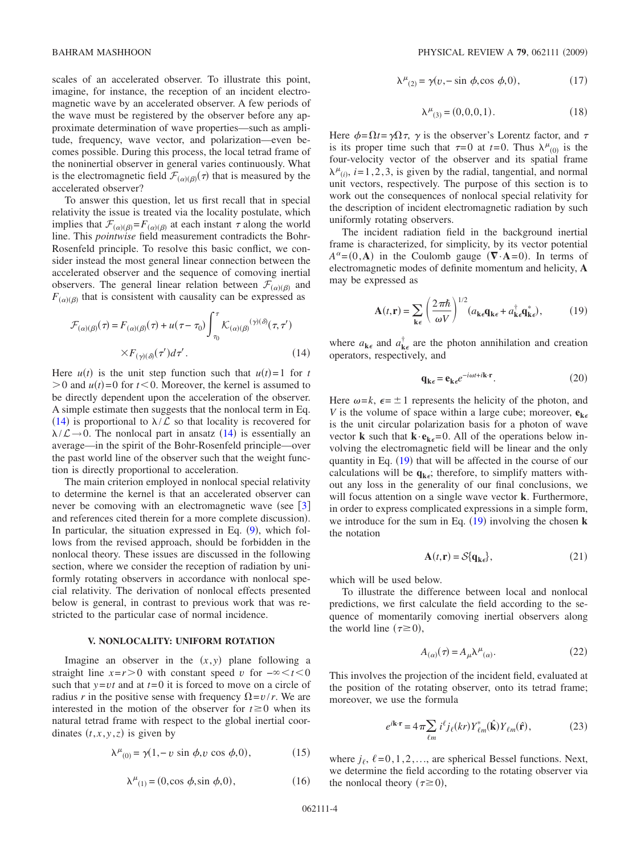scales of an accelerated observer. To illustrate this point, imagine, for instance, the reception of an incident electromagnetic wave by an accelerated observer. A few periods of the wave must be registered by the observer before any approximate determination of wave properties—such as amplitude, frequency, wave vector, and polarization—even becomes possible. During this process, the local tetrad frame of the noninertial observer in general varies continuously. What is the electromagnetic field  $\mathcal{F}_{(\alpha)(\beta)}(\tau)$  that is measured by the accelerated observer?

To answer this question, let us first recall that in special relativity the issue is treated via the locality postulate, which implies that  $\mathcal{F}_{(\alpha)(\beta)} = F_{(\alpha)(\beta)}$  at each instant  $\tau$  along the world line. This *pointwise* field measurement contradicts the Bohr-Rosenfeld principle. To resolve this basic conflict, we consider instead the most general linear connection between the accelerated observer and the sequence of comoving inertial observers. The general linear relation between  $\mathcal{F}_{(\alpha)(\beta)}$  and  $F_{(\alpha)(\beta)}$  that is consistent with causality can be expressed as

<span id="page-3-1"></span>
$$
\mathcal{F}_{(\alpha)(\beta)}(\tau) = F_{(\alpha)(\beta)}(\tau) + u(\tau - \tau_0) \int_{\tau_0}^{\tau} \mathcal{K}_{(\alpha)(\beta)}(\gamma) (\delta(\tau, \tau'))
$$

$$
\times F_{(\gamma)(\delta)}(\tau') d\tau'. \tag{14}
$$

Here  $u(t)$  is the unit step function such that  $u(t)=1$  for *t*  $> 0$  and  $u(t) = 0$  for  $t < 0$ . Moreover, the kernel is assumed to be directly dependent upon the acceleration of the observer. A simple estimate then suggests that the nonlocal term in Eq. ([14](#page-3-1)) is proportional to  $\lambda/\mathcal{L}$  so that locality is recovered for  $\lambda/\mathcal{L}\rightarrow 0$ . The nonlocal part in ansatz ([14](#page-3-1)) is essentially an average—in the spirit of the Bohr-Rosenfeld principle—over the past world line of the observer such that the weight function is directly proportional to acceleration.

The main criterion employed in nonlocal special relativity to determine the kernel is that an accelerated observer can never be comoving with an electromagnetic wave (see  $\lceil 3 \rceil$  $\lceil 3 \rceil$  $\lceil 3 \rceil$ ) and references cited therein for a more complete discussion). In particular, the situation expressed in Eq.  $(9)$  $(9)$  $(9)$ , which follows from the revised approach, should be forbidden in the nonlocal theory. These issues are discussed in the following section, where we consider the reception of radiation by uniformly rotating observers in accordance with nonlocal special relativity. The derivation of nonlocal effects presented below is general, in contrast to previous work that was restricted to the particular case of normal incidence.

#### **V. NONLOCALITY: UNIFORM ROTATION**

<span id="page-3-0"></span>Imagine an observer in the  $(x, y)$  plane following a straight line  $x = r > 0$  with constant speed *v* for  $-\infty < t < 0$ such that  $y = vt$  and at  $t = 0$  it is forced to move on a circle of radius *r* in the positive sense with frequency  $\Omega = v/r$ . We are interested in the motion of the observer for  $t \ge 0$  when its natural tetrad frame with respect to the global inertial coordinates  $(t, x, y, z)$  is given by

<span id="page-3-3"></span>
$$
\lambda^{\mu}_{(0)} = \gamma(1, -v \sin \phi, v \cos \phi, 0), \qquad (15)
$$

$$
\lambda^{\mu}_{(1)} = (0, \cos \phi, \sin \phi, 0), \tag{16}
$$

$$
\lambda^{\mu}_{(2)} = \gamma(\nu, -\sin \phi, \cos \phi, 0), \qquad (17)
$$

$$
\lambda^{\mu}_{(3)} = (0,0,0,1). \tag{18}
$$

<span id="page-3-4"></span>Here  $\phi = \Omega t = \gamma \Omega \tau$ ,  $\gamma$  is the observer's Lorentz factor, and  $\tau$ is its proper time such that  $\tau = 0$  at  $t = 0$ . Thus  $\lambda^{\mu}{}_{(0)}$  is the four-velocity vector of the observer and its spatial frame  $\lambda^{\mu}$ <sub>(*i*)</sub>, *i*=1, 2, 3, is given by the radial, tangential, and normal unit vectors, respectively. The purpose of this section is to work out the consequences of nonlocal special relativity for the description of incident electromagnetic radiation by such uniformly rotating observers.

The incident radiation field in the background inertial frame is characterized, for simplicity, by its vector potential  $A^{\alpha} = (0, \mathbf{A})$  in the Coulomb gauge  $(\nabla \cdot \mathbf{A} = 0)$ . In terms of electromagnetic modes of definite momentum and helicity, **A** may be expressed as

$$
\mathbf{A}(t,\mathbf{r}) = \sum_{\mathbf{k}\epsilon} \left(\frac{2\pi\hbar}{\omega V}\right)^{1/2} (a_{\mathbf{k}\epsilon}\mathbf{q}_{\mathbf{k}\epsilon} + a_{\mathbf{k}\epsilon}^{\dagger}\mathbf{q}_{\mathbf{k}\epsilon}^*),\tag{19}
$$

<span id="page-3-2"></span>where  $a_{\mathbf{k}\epsilon}$  and  $a_{\mathbf{k}\epsilon}^{\dagger}$  are the photon annihilation and creation operators, respectively, and

$$
\mathbf{q}_{\mathbf{k}\epsilon} = \mathbf{e}_{\mathbf{k}\epsilon} e^{-i\omega t + i\mathbf{k}\cdot \mathbf{r}}.
$$
 (20)

Here  $\omega = k$ ,  $\epsilon = \pm 1$  represents the helicity of the photon, and *V* is the volume of space within a large cube; moreover,  $e_{k \epsilon}$ is the unit circular polarization basis for a photon of wave vector **k** such that  $\mathbf{k} \cdot \mathbf{e}_{k\epsilon} = 0$ . All of the operations below involving the electromagnetic field will be linear and the only quantity in Eq.  $(19)$  $(19)$  $(19)$  that will be affected in the course of our calculations will be  $q_{k,c}$ ; therefore, to simplify matters without any loss in the generality of our final conclusions, we will focus attention on a single wave vector **k**. Furthermore, in order to express complicated expressions in a simple form, we introduce for the sum in Eq. ([19](#page-3-2)) involving the chosen **k** the notation

$$
\mathbf{A}(t, \mathbf{r}) = \mathcal{S}\{\mathbf{q}_{\mathbf{k}\epsilon}\},\tag{21}
$$

which will be used below.

To illustrate the difference between local and nonlocal predictions, we first calculate the field according to the sequence of momentarily comoving inertial observers along the world line  $(\tau \ge 0)$ ,

$$
A_{(\alpha)}(\tau) = A_{\mu} \lambda^{\mu}{}_{(\alpha)}.
$$
\n(22)

This involves the projection of the incident field, evaluated at the position of the rotating observer, onto its tetrad frame; moreover, we use the formula

$$
e^{i\mathbf{k}\cdot\mathbf{r}} = 4\pi \sum_{\ell m} i^{\ell} j_{\ell}(kr) Y_{\ell m}^{*}(\hat{\mathbf{k}}) Y_{\ell m}(\hat{\mathbf{r}}), \qquad (23)
$$

where  $j_\ell$ ,  $\ell = 0, 1, 2, \ldots$ , are spherical Bessel functions. Next, we determine the field according to the rotating observer via the nonlocal theory  $(\tau \ge 0)$ ,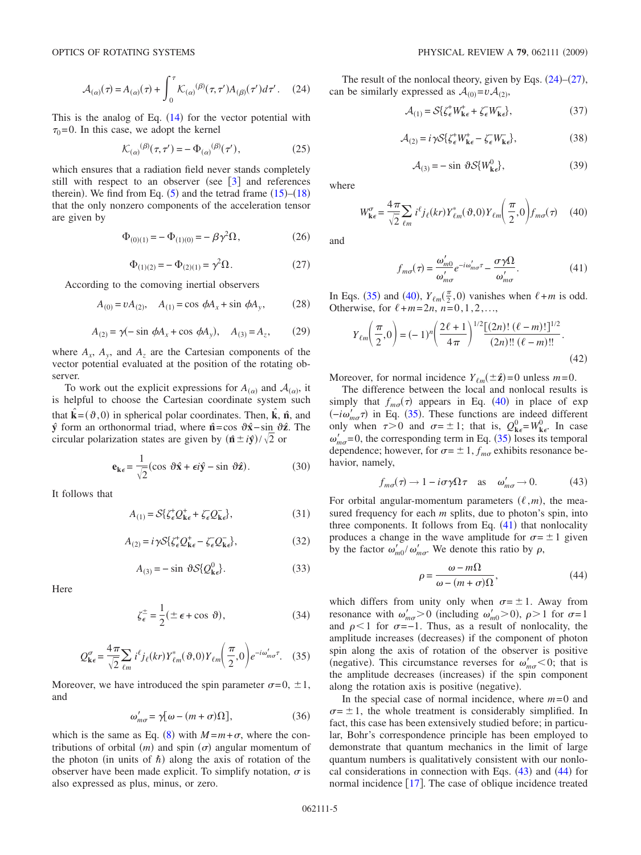$$
\mathcal{A}_{(\alpha)}(\tau) = A_{(\alpha)}(\tau) + \int_0^\tau \mathcal{K}_{(\alpha)}^{(\beta)}(\tau, \tau') A_{(\beta)}(\tau') d\tau'. \quad (24)
$$

<span id="page-4-0"></span>This is the analog of Eq.  $(14)$  $(14)$  $(14)$  for the vector potential with  $\tau_0$ =0. In this case, we adopt the kernel

$$
\mathcal{K}_{(\alpha)}^{(\beta)}(\tau,\tau') = -\Phi_{(\alpha)}^{(\beta)}(\tau'),\tag{25}
$$

which ensures that a radiation field never stands completely still with respect to an observer (see  $\lceil 3 \rceil$  $\lceil 3 \rceil$  $\lceil 3 \rceil$  and references therein). We find from Eq.  $(5)$  $(5)$  $(5)$  and the tetrad frame  $(15)$  $(15)$  $(15)$ – $(18)$  $(18)$  $(18)$ that the only nonzero components of the acceleration tensor are given by

$$
\Phi_{(0)(1)} = -\Phi_{(1)(0)} = -\beta \gamma^2 \Omega, \qquad (26)
$$

$$
\Phi_{(1)(2)} = -\Phi_{(2)(1)} = \gamma^2 \Omega.
$$
\n(27)

<span id="page-4-8"></span><span id="page-4-1"></span>According to the comoving inertial observers

$$
A_{(0)} = vA_{(2)}, \quad A_{(1)} = \cos \phi A_x + \sin \phi A_y, \tag{28}
$$

$$
A_{(2)} = \gamma(-\sin \phi A_x + \cos \phi A_y), \quad A_{(3)} = A_z, \tag{29}
$$

<span id="page-4-9"></span>where  $A_x$ ,  $A_y$ , and  $A_z$  are the Cartesian components of the vector potential evaluated at the position of the rotating observer.

To work out the explicit expressions for  $A_{(\alpha)}$  and  $A_{(\alpha)}$ , it is helpful to choose the Cartesian coordinate system such that  $\hat{\mathbf{k}} = (\vartheta, 0)$  in spherical polar coordinates. Then,  $\hat{\mathbf{k}}$ ,  $\hat{\mathbf{n}}$ , and **y***ˆ* form an orthonormal triad, where **n***ˆ* =cos **x***ˆ* − sin **z***ˆ*. The circular polarization states are given by  $(\hat{\mathbf{n}} \pm i\hat{\mathbf{y}})/\sqrt{2}$  or

$$
\mathbf{e}_{\mathbf{k}\epsilon} = \frac{1}{\sqrt{2}} (\cos \vartheta \hat{\mathbf{x}} + \epsilon i \hat{\mathbf{y}} - \sin \vartheta \hat{\mathbf{z}}). \tag{30}
$$

It follows that

$$
A_{(1)} = \mathcal{S}\{\zeta_{\epsilon}^{+}Q_{k\epsilon}^{+} + \zeta_{\epsilon}Q_{k\epsilon}^{-}\},\tag{31}
$$

$$
A_{(2)} = i\gamma S \{ \zeta_{\epsilon}^{+} Q_{\mathbf{k}\epsilon}^{+} - \zeta_{\epsilon} Q_{\mathbf{k}\epsilon}^{-} \},\tag{32}
$$

$$
A_{(3)} = -\sin \vartheta S \{Q_{\mathbf{k}\epsilon}^0\}.
$$
 (33)

Here

$$
\zeta_{\epsilon}^{\pm} = \frac{1}{2} (\pm \epsilon + \cos \vartheta), \tag{34}
$$

$$
Q_{\mathbf{k}\epsilon}^{\sigma} = \frac{4\pi}{\sqrt{2}} \sum_{\ell m} i^{\ell} j_{\ell}(kr) Y_{\ell m}^{*}(\vartheta, 0) Y_{\ell m} \left(\frac{\pi}{2}, 0\right) e^{-i\omega_{m\sigma}^{\prime} \tau}.
$$
 (35)

<span id="page-4-2"></span>Moreover, we have introduced the spin parameter  $\sigma$ =0,  $\pm$ 1, and

$$
\omega'_{m\sigma} = \gamma[\omega - (m+\sigma)\Omega],\tag{36}
$$

<span id="page-4-7"></span>which is the same as Eq. ([8](#page-2-1)) with  $M = m + \sigma$ , where the contributions of orbital  $(m)$  and spin  $(\sigma)$  angular momentum of the photon (in units of  $\hbar$ ) along the axis of rotation of the observer have been made explicit. To simplify notation,  $\sigma$  is also expressed as plus, minus, or zero.

The result of the nonlocal theory, given by Eqs.  $(24)$  $(24)$  $(24)$ – $(27)$  $(27)$  $(27)$ , can be similarly expressed as  $A_{(0)} = v A_{(2)}$ ,

$$
\mathcal{A}_{(1)} = \mathcal{S}\{\zeta_{\epsilon}^+ W_{\mathbf{k}\epsilon}^+ + \zeta_{\epsilon} W_{\mathbf{k}\epsilon}^-\},\tag{37}
$$

$$
\mathcal{A}_{(2)} = i\gamma \mathcal{S}\{\zeta_{\epsilon}^{+}W_{k\epsilon}^{+} - \zeta_{\epsilon}^{-}W_{k\epsilon}^{-}\},\tag{38}
$$

$$
\mathcal{A}_{(3)} = -\sin \vartheta \mathcal{S}\{W_{\mathbf{k}\epsilon}^0\},\tag{39}
$$

where

$$
W_{\mathbf{k}\epsilon}^{\sigma} = \frac{4\pi}{\sqrt{2}} \sum_{\ell m} i^{\ell} j_{\ell}(kr) Y_{\ell m}^{*}(\vartheta, 0) Y_{\ell m} \left(\frac{\pi}{2}, 0\right) f_{m\sigma}(\tau) \tag{40}
$$

<span id="page-4-3"></span>and

$$
f_{m\sigma}(\tau) = \frac{\omega'_{m0}}{\omega'_{m\sigma}} e^{-i\omega'_{m\sigma}\tau} - \frac{\sigma \gamma \Omega}{\omega'_{m\sigma}}.
$$
 (41)

<span id="page-4-4"></span>In Eqs. ([35](#page-4-2)) and ([40](#page-4-3)),  $Y_{\ell m}(\frac{\pi}{2}, 0)$  vanishes when  $\ell+m$  is odd. Otherwise, for  $\ell + m = 2n$ ,  $n = 0, 1, 2, ...$ ,

$$
Y_{\ell m}\left(\frac{\pi}{2},0\right) = (-1)^n \left(\frac{2\ell+1}{4\pi}\right)^{1/2} \frac{\left[(2n)!\ (\ell-m)!\right]^{1/2}}{(2n)!!\ (\ell-m)!!}.
$$
\n(42)

Moreover, for normal incidence  $Y_{\ell m}(\pm \hat{z}) = 0$  unless  $m = 0$ .

The difference between the local and nonlocal results is simply that  $f_{m\sigma}(\tau)$  appears in Eq. ([40](#page-4-3)) in place of exp  $(-i\omega'_{m\sigma}\tau)$  in Eq. ([35](#page-4-2)). These functions are indeed different only when  $\tau > 0$  and  $\sigma = \pm 1$ ; that is,  $Q_{k\epsilon}^0 = W_{k\epsilon}^0$ . In case  $\omega'_{m\sigma}$ =0, the corresponding term in Eq. ([35](#page-4-2)) loses its temporal dependence; however, for  $\sigma = \pm 1$ ,  $f_{m\sigma}$  exhibits resonance behavior, namely,

$$
f_{m\sigma}(\tau) \to 1 - i\sigma\gamma\Omega\tau
$$
 as  $\omega'_{m\sigma} \to 0.$  (43)

<span id="page-4-5"></span>For orbital angular-momentum parameters  $(\ell,m)$ , the measured frequency for each *m* splits, due to photon's spin, into three components. It follows from Eq.  $(41)$  $(41)$  $(41)$  that nonlocality produces a change in the wave amplitude for  $\sigma = \pm 1$  given by the factor  $\omega'_{m0} / \omega'_{m\sigma}$ . We denote this ratio by  $\rho$ ,

$$
\rho = \frac{\omega - m\Omega}{\omega - (m + \sigma)\Omega},\tag{44}
$$

<span id="page-4-6"></span>which differs from unity only when  $\sigma = \pm 1$ . Away from resonance with  $\omega'_{m\sigma} > 0$  (including  $\omega'_{m0} > 0$ ),  $\rho > 1$  for  $\sigma = 1$ and  $\rho$ <1 for  $\sigma=-1$ . Thus, as a result of nonlocality, the amplitude increases (decreases) if the component of photon spin along the axis of rotation of the observer is positive (negative). This circumstance reverses for  $\omega'_{m\sigma} < 0$ ; that is the amplitude decreases (increases) if the spin component along the rotation axis is positive (negative).

In the special case of normal incidence, where  $m=0$  and  $\sigma = \pm 1$ , the whole treatment is considerably simplified. In fact, this case has been extensively studied before; in particular, Bohr's correspondence principle has been employed to demonstrate that quantum mechanics in the limit of large quantum numbers is qualitatively consistent with our nonlocal considerations in connection with Eqs.  $(43)$  $(43)$  $(43)$  and  $(44)$  $(44)$  $(44)$  for normal incidence  $[17]$  $[17]$  $[17]$ . The case of oblique incidence treated